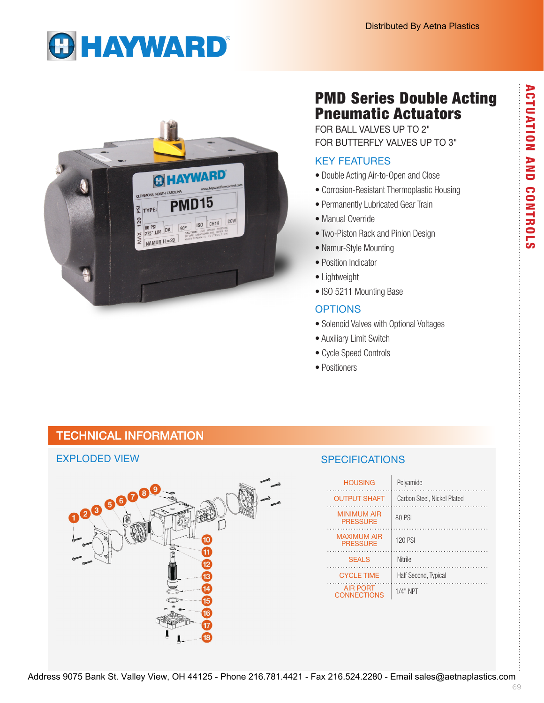# **GHAYWARD®**



## PMD Series Double Acting Pneumatic Actuators

FOR BALL VALVES UP TO 2" FOR BUTTERFLY VALVES UP TO 3"

## KEY FEATURES

- Double Acting Air-to-Open and Close
- Corrosion-Resistant Thermoplastic Housing
- Permanently Lubricated Gear Train
- Manual Override
- Two-Piston Rack and Pinion Design
- Namur-Style Mounting
- Position Indicator
- Lightweight
- ISO 5211 Mounting Base

### **OPTIONS**

- Solenoid Valves with Optional Voltages
- Auxiliary Limit Switch
- Cycle Speed Controls
- Positioners

## TECHNICAL INFORMATION

### EXPLODED VIEW



## **SPECIFICATIONS**

| <b>HOUSING</b>                        | Polyamide                   |
|---------------------------------------|-----------------------------|
| <b>OUTPUT SHAFT</b>                   | Carbon Steel, Nickel Plated |
| <b>MINIMUM AIR</b><br><b>PRESSURE</b> | 80 PSI                      |
| <b>MAXIMUM AIR</b><br><b>PRESSURE</b> | <b>120 PSI</b>              |
| <b>SEALS</b>                          | Nitrile                     |
| <b>CYCLE TIME</b>                     | Half Second, Typical        |
| <b>AIR PORT</b><br><b>CONNECTIONS</b> | $1/4"$ NPT                  |